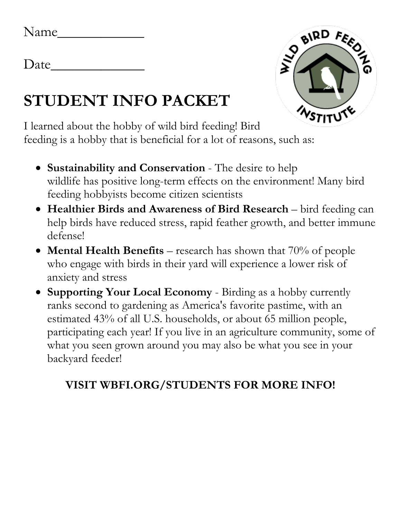Date*\_\_\_\_\_\_\_\_\_\_\_\_\_*

## **STUDENT INFO PACKET**



I learned about the hobby of wild bird feeding! Bird feeding is a hobby that is beneficial for a lot of reasons, such as:

- **Sustainability and Conservation** The desire to help wildlife has positive long-term effects on the environment! Many bird feeding hobbyists become citizen scientists
- **Healthier Birds and Awareness of Bird Research** bird feeding can help birds have reduced stress, rapid feather growth, and better immune defense!
- **Mental Health Benefits** research has shown that 70% of people who engage with birds in their yard will experience a lower risk of anxiety and stress
- **Supporting Your Local Economy** Birding as a hobby currently ranks second to gardening as America's favorite pastime, with an estimated 43% of all U.S. households, or about 65 million people, participating each year! If you live in an agriculture community, some of what you seen grown around you may also be what you see in your backyard feeder!

## **VISIT WBFI.ORG/STUDENTS FOR MORE INFO!**